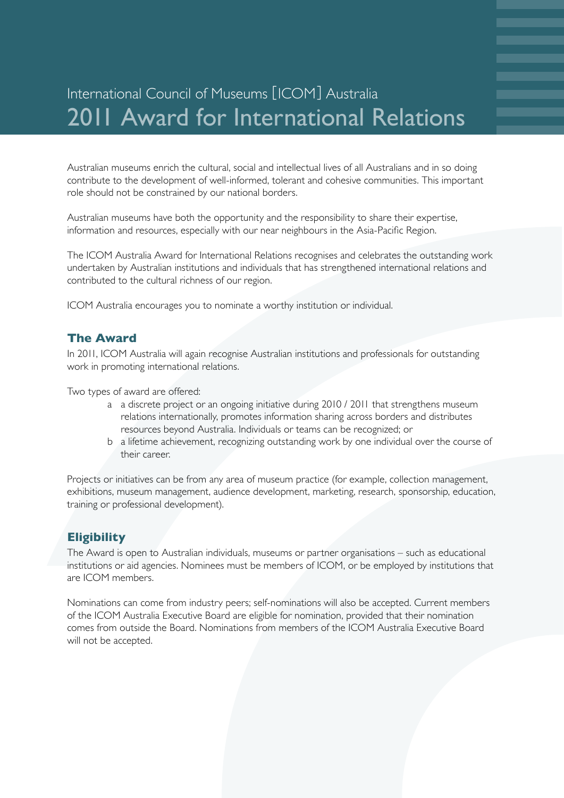# International Council of Museums [ICOM] Australia 2011 Award for International Relations

Australian museums enrich the cultural, social and intellectual lives of all Australians and in so doing contribute to the development of well-informed, tolerant and cohesive communities. This important role should not be constrained by our national borders.

Australian museums have both the opportunity and the responsibility to share their expertise, information and resources, especially with our near neighbours in the Asia-Pacific Region.

The ICOM Australia Award for International Relations recognises and celebrates the outstanding work undertaken by Australian institutions and individuals that has strengthened international relations and contributed to the cultural richness of our region.

ICOM Australia encourages you to nominate a worthy institution or individual.

#### **The Award**

In 2011, ICOM Australia will again recognise Australian institutions and professionals for outstanding work in promoting international relations.

Two types of award are offered:

- a a discrete project or an ongoing initiative during 2010 / 2011 that strengthens museum relations internationally, promotes information sharing across borders and distributes resources beyond Australia. Individuals or teams can be recognized; or
- b a lifetime achievement, recognizing outstanding work by one individual over the course of their career.

Projects or initiatives can be from any area of museum practice (for example, collection management, exhibitions, museum management, audience development, marketing, research, sponsorship, education, training or professional development).

#### **Eligibility**

The Award is open to Australian individuals, museums or partner organisations – such as educational institutions or aid agencies. Nominees must be members of ICOM, or be employed by institutions that are ICOM members.

Nominations can come from industry peers; self-nominations will also be accepted. Current members of the ICOM Australia Executive Board are eligible for nomination, provided that their nomination comes from outside the Board. Nominations from members of the ICOM Australia Executive Board will not be accepted.